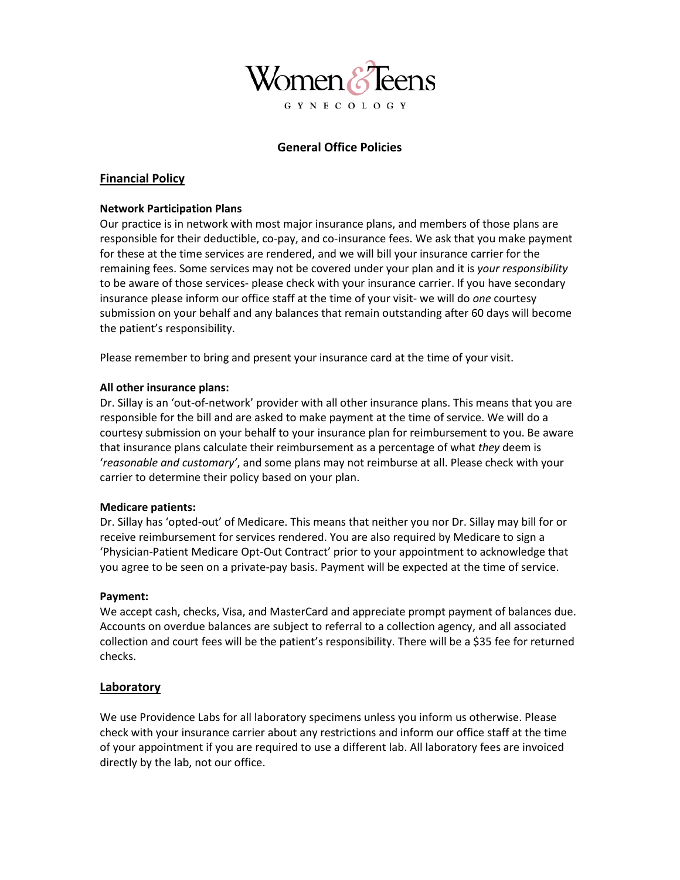

# **General Office Policies**

### **Financial Policy**

#### **Network Participation Plans**

Our practice is in network with most major insurance plans, and members of those plans are responsible for their deductible, co-pay, and co-insurance fees. We ask that you make payment for these at the time services are rendered, and we will bill your insurance carrier for the remaining fees. Some services may not be covered under your plan and it is *your responsibility* to be aware of those services- please check with your insurance carrier. If you have secondary insurance please inform our office staff at the time of your visit- we will do *one* courtesy submission on your behalf and any balances that remain outstanding after 60 days will become the patient's responsibility.

Please remember to bring and present your insurance card at the time of your visit.

#### **All other insurance plans:**

Dr. Sillay is an 'out-of-network' provider with all other insurance plans. This means that you are responsible for the bill and are asked to make payment at the time of service. We will do a courtesy submission on your behalf to your insurance plan for reimbursement to you. Be aware that insurance plans calculate their reimbursement as a percentage of what *they* deem is '*reasonable and customary'*, and some plans may not reimburse at all. Please check with your carrier to determine their policy based on your plan.

#### **Medicare patients:**

Dr. Sillay has 'opted-out' of Medicare. This means that neither you nor Dr. Sillay may bill for or receive reimbursement for services rendered. You are also required by Medicare to sign a 'Physician-Patient Medicare Opt-Out Contract' prior to your appointment to acknowledge that you agree to be seen on a private-pay basis. Payment will be expected at the time of service.

#### **Payment:**

We accept cash, checks, Visa, and MasterCard and appreciate prompt payment of balances due. Accounts on overdue balances are subject to referral to a collection agency, and all associated collection and court fees will be the patient's responsibility. There will be a \$35 fee for returned checks.

#### **Laboratory**

We use Providence Labs for all laboratory specimens unless you inform us otherwise. Please check with your insurance carrier about any restrictions and inform our office staff at the time of your appointment if you are required to use a different lab. All laboratory fees are invoiced directly by the lab, not our office.